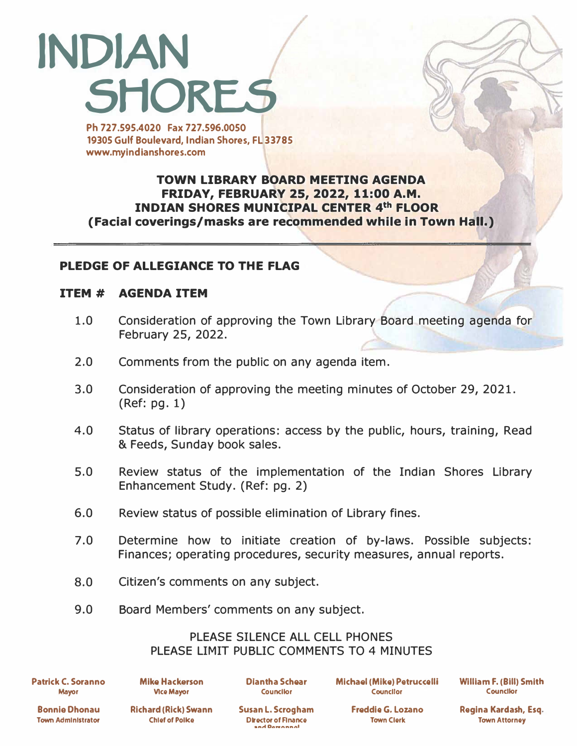# **INDIAN SHORES**

**Ph 727.595.4020 Fax 727.596.0050 19305 Gulf Boulevard, Indian Shores, FL 33785 www.myindlanshores.com** 

# **TOWN LIBRARY BOARD MEETING AGENDA FRIDAY, FEBRUARY 25, 2022, 11:00 A.M. INDIAN SHORES MUNICIPAL CENTER 4th FLOOR (Facial coverings/masks are recommended while in Town Hall.)**

# **PLEDGE OF ALLEGIANCE TO THE FLAG**

## **ITEM # AGENDA ITEM**

- 1.0 Consideration of approving the Town Library Board meeting agenda for February 25, 2022.
- 2.0 Comments from the public on any agenda item.
- 3.0 Consideration of approving the meeting minutes of October 29, 2021. (Ref: pg. 1)
- 4.0 Status of library operations: access by the public, hours, training, Read & Feeds, Sunday book sales.
- 5.0 Review status of the implementation of the Indian Shores Library Enhancement Study. (Ref: pg. 2)
- 6.0 Review status of possible elimination of Library fines.
- 7.0 Determine how to initiate creation of by-laws. Possible subjects: Finances; operating procedures, security measures, annual reports.
- 8.0 Citizen's comments on any subject.
- 9.0 Board Members' comments on any subject.

## PLEASE SILENCE ALL CELL PHONES PLEASE LIMIT PUBLIC COMMENTS TO 4 MINUTES

**Patrick C. Soranno Mayor** 

**Mike Hackerson Dlantha Schear Michael (Mike) Petruccelli Vice Mayor Councllor Councllor** 

**William F. (Bill) Smith Counctlor** 

**Bonnie Dhonau Town Administrator** 

Richard (Rick) Swann Susan L. Scrogham Freddie G. Lozano **Chief of Police Chief Chief Chief Chief Chief Chief Chief Chief Chief Chief Chief Chief Chief Chief Chief Chief Chief Chief Chief Chief Chief Chief Chief Chief Chief Chief Chief Chief Chief Chief Chief Chief Chief Chief C** and Dovennnol

**Regina Kardash, Esq. Town Attorney**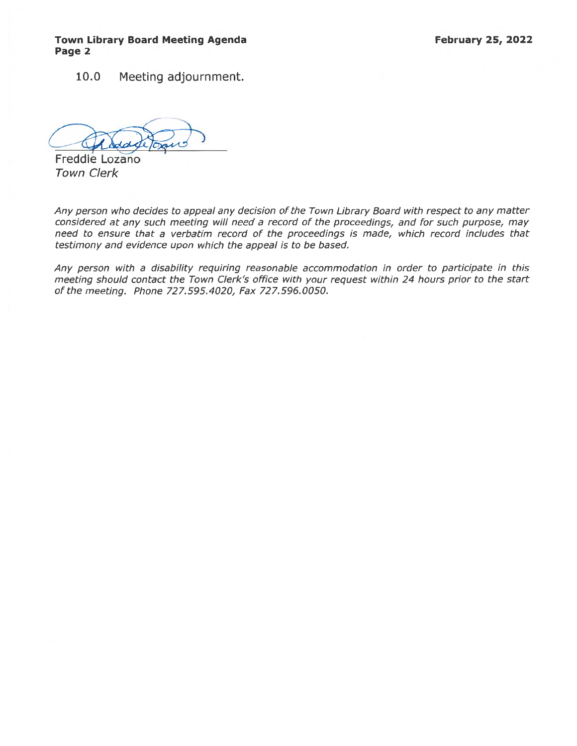### Town Library Board Meeting Agenda **February 25, 2022** Page 2

10.0 Meeting adjournment.

(Theddon)

Freddie Lozano Town Clerk

Any person who decides to appeal any decision of the Town Library Board with respec<sup>t</sup> to any matter considered at any such meeting will need <sup>a</sup> record of the proceedings, and for such purpose, may need to ensure that <sup>a</sup> verbatim record of the proceedings is made, which record includes that testimony and evidence upon which the appeal is to be based.

Any person with <sup>a</sup> disability requiring reasonable accommodation in order to participate in this meeting should contact the Town Clerk's office with your reques<sup>t</sup> within 24 hours prior to the start of the meeting. Phone 727.595.4020, Fax 727.596.0050.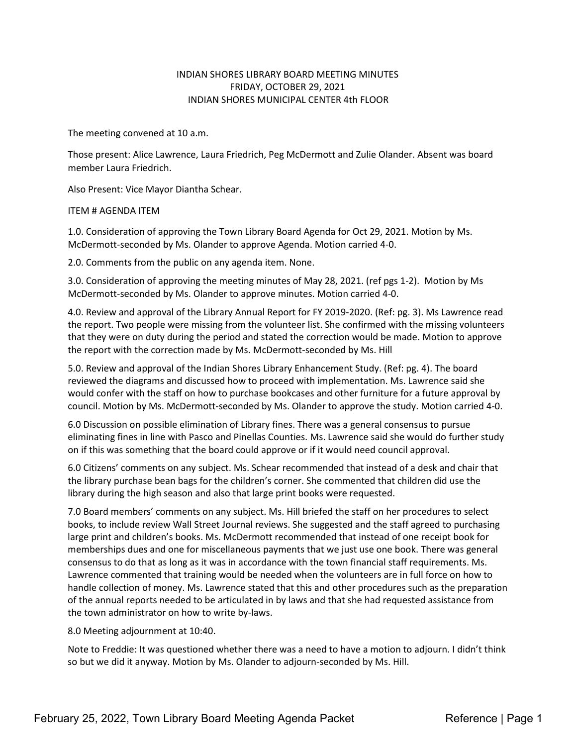#### INDIAN SHORES LIBRARY BOARD MEETING MINUTES FRIDAY, OCTOBER 29, 2021 INDIAN SHORES MUNICIPAL CENTER 4th FLOOR

The meeting convened at 10 a.m.

Those present: Alice Lawrence, Laura Friedrich, Peg McDermott and Zulie Olander. Absent was board member Laura Friedrich.

Also Present: Vice Mayor Diantha Schear.

ITEM # AGENDA ITEM

1.0. Consideration of approving the Town Library Board Agenda for Oct 29, 2021. Motion by Ms. McDermott-seconded by Ms. Olander to approve Agenda. Motion carried 4-0.

2.0. Comments from the public on any agenda item. None.

3.0. Consideration of approving the meeting minutes of May 28, 2021. (ref pgs 1-2). Motion by Ms McDermott-seconded by Ms. Olander to approve minutes. Motion carried 4-0.

4.0. Review and approval of the Library Annual Report for FY 2019-2020. (Ref: pg. 3). Ms Lawrence read the report. Two people were missing from the volunteer list. She confirmed with the missing volunteers that they were on duty during the period and stated the correction would be made. Motion to approve the report with the correction made by Ms. McDermott-seconded by Ms. Hill

5.0. Review and approval of the Indian Shores Library Enhancement Study. (Ref: pg. 4). The board reviewed the diagrams and discussed how to proceed with implementation. Ms. Lawrence said she would confer with the staff on how to purchase bookcases and other furniture for a future approval by council. Motion by Ms. McDermott-seconded by Ms. Olander to approve the study. Motion carried 4-0.

6.0 Discussion on possible elimination of Library fines. There was a general consensus to pursue eliminating fines in line with Pasco and Pinellas Counties. Ms. Lawrence said she would do further study on if this was something that the board could approve or if it would need council approval.

6.0 Citizens' comments on any subject. Ms. Schear recommended that instead of a desk and chair that the library purchase bean bags for the children's corner. She commented that children did use the library during the high season and also that large print books were requested.

7.0 Board members' comments on any subject. Ms. Hill briefed the staff on her procedures to select books, to include review Wall Street Journal reviews. She suggested and the staff agreed to purchasing large print and children's books. Ms. McDermott recommended that instead of one receipt book for memberships dues and one for miscellaneous payments that we just use one book. There was general consensus to do that as long as it was in accordance with the town financial staff requirements. Ms. Lawrence commented that training would be needed when the volunteers are in full force on how to handle collection of money. Ms. Lawrence stated that this and other procedures such as the preparation of the annual reports needed to be articulated in by laws and that she had requested assistance from the town administrator on how to write by-laws.

8.0 Meeting adjournment at 10:40.

Note to Freddie: It was questioned whether there was a need to have a motion to adjourn. I didn't think so but we did it anyway. Motion by Ms. Olander to adjourn-seconded by Ms. Hill.